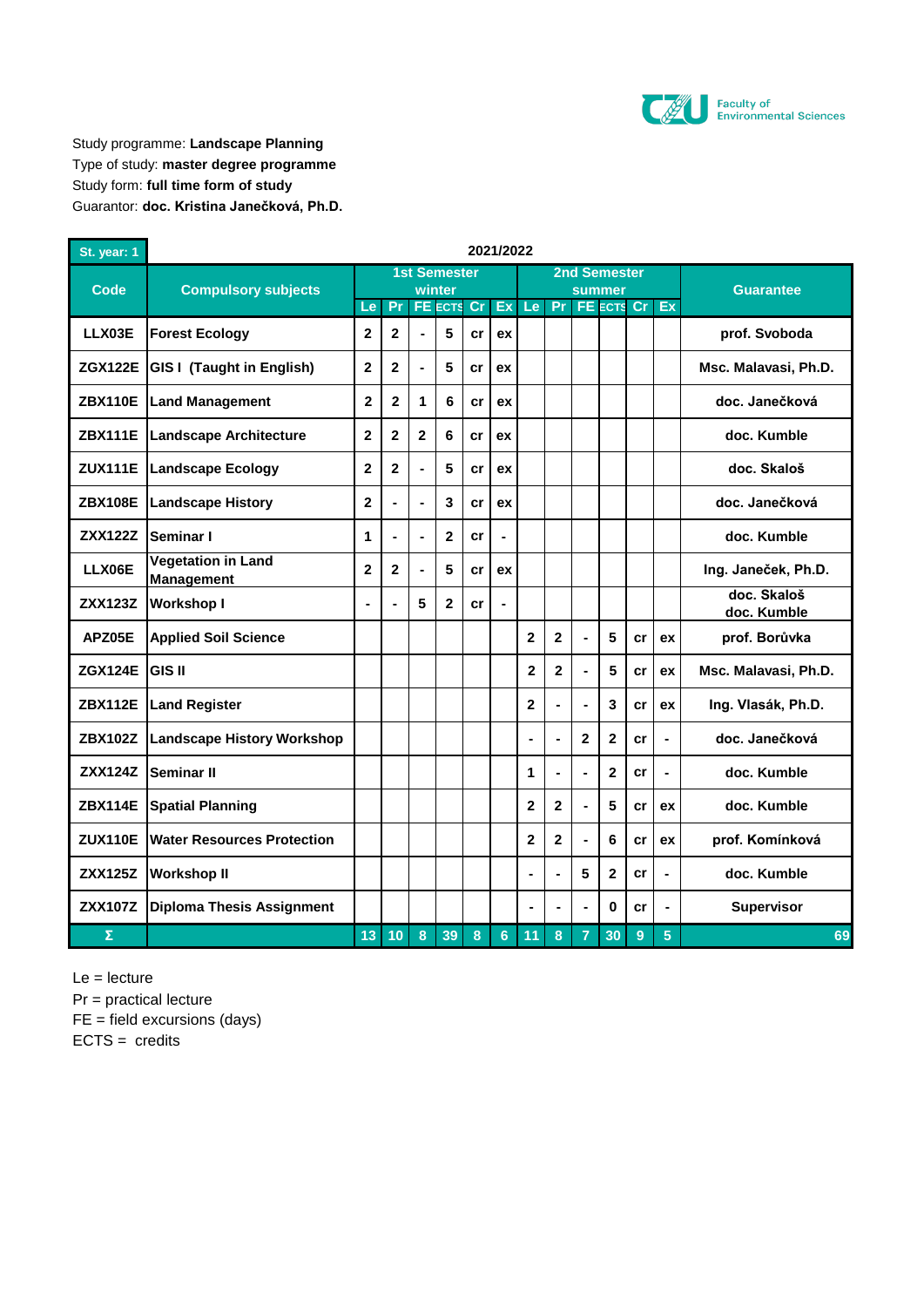

Study programme: **Landscape Planning** Type of study: **master degree programme** Study form: **full time form of study** Guarantor: **doc. Kristina Janečková, Ph.D.**

| St. year: 1    | 2021/2022                                      |                |                |                |                          |    |                |                         |                         |                |                             |    |                |                            |
|----------------|------------------------------------------------|----------------|----------------|----------------|--------------------------|----|----------------|-------------------------|-------------------------|----------------|-----------------------------|----|----------------|----------------------------|
| Code           | <b>Compulsory subjects</b>                     |                |                |                | <b>1st Semester</b>      |    |                |                         |                         |                | <b>2nd Semester</b>         |    |                |                            |
|                |                                                | Le             | Pr             |                | winter<br><b>FE</b> ECTS | cr | Ex             | Le                      | Pr                      |                | summer<br><b>FE ECTS Cr</b> |    | Ex             | <b>Guarantee</b>           |
| LLX03E         | <b>Forest Ecology</b>                          | $\overline{2}$ | $\overline{2}$ |                | 5                        | cr | ex             |                         |                         |                |                             |    |                | prof. Svoboda              |
| <b>ZGX122E</b> | <b>GIS I (Taught in English)</b>               | $\mathbf{2}$   | $\mathbf 2$    |                | 5                        | cr | ex             |                         |                         |                |                             |    |                | Msc. Malavasi, Ph.D.       |
| <b>ZBX110E</b> | <b>Land Management</b>                         | $\mathbf{2}$   | $\overline{2}$ | 1              | 6                        | cr | ex             |                         |                         |                |                             |    |                | doc. Janečková             |
| <b>ZBX111E</b> | <b>Landscape Architecture</b>                  | $\overline{2}$ | $\mathbf{2}$   | $\overline{2}$ | 6                        | cr | ex             |                         |                         |                |                             |    |                | doc. Kumble                |
| <b>ZUX111E</b> | <b>Landscape Ecology</b>                       | $\overline{2}$ | $\overline{2}$ |                | 5                        | cr | ex             |                         |                         |                |                             |    |                | doc. Skaloš                |
| <b>ZBX108E</b> | <b>Landscape History</b>                       | $\mathbf{2}$   | $\blacksquare$ | -              | 3                        | cr | ex             |                         |                         |                |                             |    |                | doc. Janečková             |
| <b>ZXX122Z</b> | Seminar I                                      | 1              | $\blacksquare$ |                | $\mathbf{2}$             | cr | $\blacksquare$ |                         |                         |                |                             |    |                | doc. Kumble                |
| LLX06E         | <b>Vegetation in Land</b><br><b>Management</b> | $\overline{2}$ | $\overline{2}$ |                | 5                        | cr | ex             |                         |                         |                |                             |    |                | Ing. Janeček, Ph.D.        |
| <b>ZXX123Z</b> | <b>Workshop I</b>                              | ä,             |                | 5              | $\overline{2}$           | cr | $\blacksquare$ |                         |                         |                |                             |    |                | doc. Skaloš<br>doc. Kumble |
| APZ05E         | <b>Applied Soil Science</b>                    |                |                |                |                          |    |                | $\overline{2}$          | $\overline{2}$          | $\overline{a}$ | 5                           | cr | ex             | prof. Borůvka              |
| <b>ZGX124E</b> | <b>GIS II</b>                                  |                |                |                |                          |    |                | $\overline{\mathbf{2}}$ | $\overline{\mathbf{2}}$ | ÷,             | 5                           | cr | ex             | Msc. Malavasi, Ph.D.       |
| <b>ZBX112E</b> | <b>Land Register</b>                           |                |                |                |                          |    |                | $\overline{2}$          |                         | L,             | 3                           | cr | ex             | Ing. Vlasák, Ph.D.         |
| <b>ZBX102Z</b> | <b>Landscape History Workshop</b>              |                |                |                |                          |    |                | ÷,                      | L,                      | $\mathbf 2$    | 2                           | cr | ÷,             | doc. Janečková             |
| <b>ZXX124Z</b> | Seminar II                                     |                |                |                |                          |    |                | 1                       |                         | L.             | $\overline{2}$              | cr | $\blacksquare$ | doc. Kumble                |
| <b>ZBX114E</b> | <b>Spatial Planning</b>                        |                |                |                |                          |    |                | $\overline{2}$          | $\overline{2}$          | $\overline{a}$ | 5                           | cr | ex             | doc. Kumble                |
| <b>ZUX110E</b> | <b>Water Resources Protection</b>              |                |                |                |                          |    |                | $\mathbf{2}$            | $\mathbf{2}$            | ÷,             | 6                           | cr | ex             | prof. Komínková            |
| <b>ZXX125Z</b> | <b>Workshop II</b>                             |                |                |                |                          |    |                | $\blacksquare$          | Ĭ.                      | 5              | 2                           | cr | ÷,             | doc. Kumble                |
| <b>ZXX107Z</b> | <b>Diploma Thesis Assignment</b>               |                |                |                |                          |    |                | $\blacksquare$          |                         |                | 0                           | cr |                | Supervisor                 |
| Σ              |                                                | 13             | 10             | 8              | 39                       | 8  | 6              | 11                      | 8                       | $\overline{7}$ | 30                          | 9  | 5              | 69                         |

Le = lecture

Pr = practical lecture

FE = field excursions (days)

 $ECTS = credits$